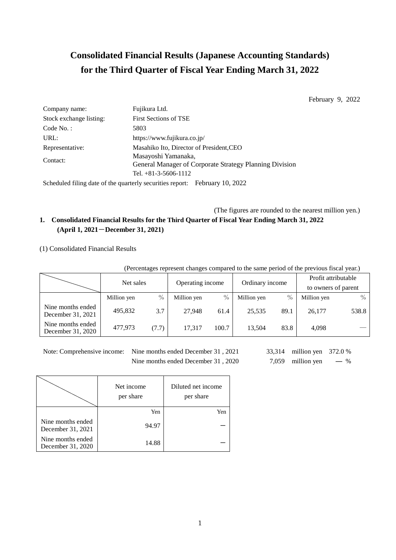# **Consolidated Financial Results (Japanese Accounting Standards) for the Third Quarter of Fiscal Year Ending March 31, 2022**

February 9, 2022

| Company name:           | Fujikura Ltd.                                                                  |
|-------------------------|--------------------------------------------------------------------------------|
| Stock exchange listing: | <b>First Sections of TSE</b>                                                   |
| $Code No.$ :            | 5803                                                                           |
| URL:                    | https://www.fujikura.co.jp/                                                    |
| Representative:         | Masahiko Ito, Director of President, CEO                                       |
| Contact:                | Masayoshi Yamanaka,<br>General Manager of Corporate Strategy Planning Division |
|                         | Tel. $+81-3-5606-1112$                                                         |
|                         |                                                                                |

Scheduled filing date of the quarterly securities report: February 10, 2022

(The figures are rounded to the nearest million yen.)

# **1. Consolidated Financial Results for the Third Quarter of Fiscal Year Ending March 31, 2022 (April 1, 2021**-**December 31, 2021)**

## (1) Consolidated Financial Results

(Percentages represent changes compared to the same period of the previous fiscal year.)

|                                        | Net sales   |               | Operating income |       | Ordinary income |      | Profit attributable |       |
|----------------------------------------|-------------|---------------|------------------|-------|-----------------|------|---------------------|-------|
|                                        |             |               |                  |       |                 |      | to owners of parent |       |
|                                        | Million yen | $\frac{0}{0}$ | Million yen      | $\%$  | Million yen     | $\%$ | Million yen         | $\%$  |
| Nine months ended<br>December 31, 2021 | 495.832     | 3.7           | 27.948           | 61.4  | 25.535          | 89.1 | 26,177              | 538.8 |
| Nine months ended<br>December 31, 2020 | 477.973     | (7.7)         | 17.317           | 100.7 | 13.504          | 83.8 | 4.098               |       |

Note: Comprehensive income: Nine months ended December 31 , 2021 33,314 million yen 372.0 % Nine months ended December 31, 2020 7,059 million yen — %

|                                        | Net income<br>per share | Diluted net income<br>per share |
|----------------------------------------|-------------------------|---------------------------------|
|                                        | Yen                     | Yen                             |
| Nine months ended<br>December 31, 2021 | 94.97                   |                                 |
| Nine months ended<br>December 31, 2020 | 14.88                   |                                 |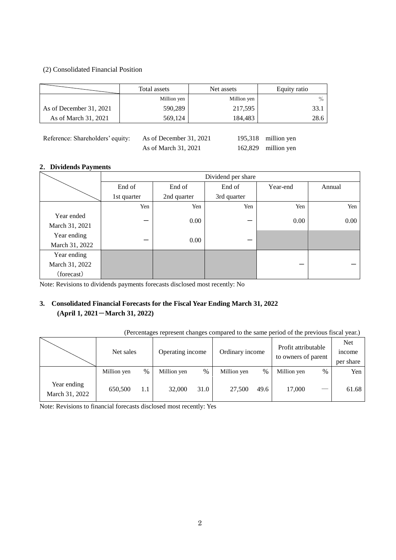### (2) Consolidated Financial Position

|                         | Total assets | Net assets  | Equity ratio  |  |
|-------------------------|--------------|-------------|---------------|--|
|                         | Million yen  | Million yen | $\frac{0}{0}$ |  |
| As of December 31, 2021 | 590,289      | 217,595     | 33.           |  |
| As of March 31, 2021    | 569,124      | 184,483     | 28.6          |  |
|                         |              |             |               |  |

Reference: Shareholders' equity: As of December 31, 2021 195,318 million yen

As of March 31, 2021 162,829 million yen

# **2**.**Dividends Payments**

|                | Dividend per share |             |             |          |          |  |  |  |
|----------------|--------------------|-------------|-------------|----------|----------|--|--|--|
|                | End of             | End of      | End of      | Year-end | Annual   |  |  |  |
|                | 1st quarter        | 2nd quarter | 3rd quarter |          |          |  |  |  |
|                | Yen                | Yen         | Yen         | Yen      | Yen      |  |  |  |
| Year ended     |                    | 0.00        |             | 0.00     | $0.00\,$ |  |  |  |
| March 31, 2021 |                    |             |             |          |          |  |  |  |
| Year ending    |                    | 0.00        |             |          |          |  |  |  |
| March 31, 2022 |                    |             |             |          |          |  |  |  |
| Year ending    |                    |             |             |          |          |  |  |  |
| March 31, 2022 |                    |             |             |          |          |  |  |  |
| (forecast)     |                    |             |             |          |          |  |  |  |

Note: Revisions to dividends payments forecasts disclosed most recently: No

# **3. Consolidated Financial Forecasts for the Fiscal Year Ending March 31, 2022 (April 1, 2021**-**March 31, 2022)**

### (Percentages represent changes compared to the same period of the previous fiscal year.)

|                               | Net sales   |     | Operating income |      | Ordinary income |      | Profit attributable<br>to owners of parent |      | <b>Net</b><br><i>n</i> come<br>per share |
|-------------------------------|-------------|-----|------------------|------|-----------------|------|--------------------------------------------|------|------------------------------------------|
|                               | Million yen | %   | Million yen      | $\%$ | Million yen     | $\%$ | Million yen                                | $\%$ | Yen                                      |
| Year ending<br>March 31, 2022 | 650,500     | 1.1 | 32,000           | 31.0 | 27,500          | 49.6 | 17,000                                     |      | 61.68                                    |

Note: Revisions to financial forecasts disclosed most recently: Yes